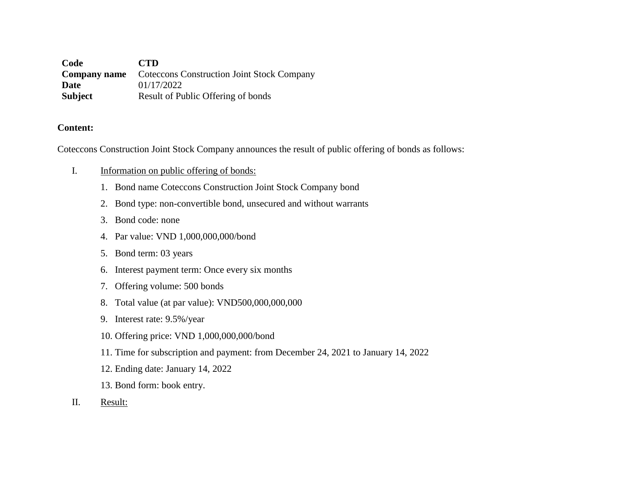**Code CTD Company name** Coteccons Construction Joint Stock Company **Date** 01/17/2022 **Subject** Result of Public Offering of bonds

#### **Content:**

Coteccons Construction Joint Stock Company announces the result of public offering of bonds as follows:

### I. Information on public offering of bonds:

- 1. Bond name Coteccons Construction Joint Stock Company bond
- 2. Bond type: non-convertible bond, unsecured and without warrants
- 3. Bond code: none
- 4. Par value: VND 1,000,000,000/bond
- 5. Bond term: 03 years
- 6. Interest payment term: Once every six months
- 7. Offering volume: 500 bonds
- 8. Total value (at par value): VND500,000,000,000
- 9. Interest rate: 9.5%/year
- 10. Offering price: VND 1,000,000,000/bond
- 11. Time for subscription and payment: from December 24, 2021 to January 14, 2022
- 12. Ending date: January 14, 2022
- 13. Bond form: book entry.
- II. Result: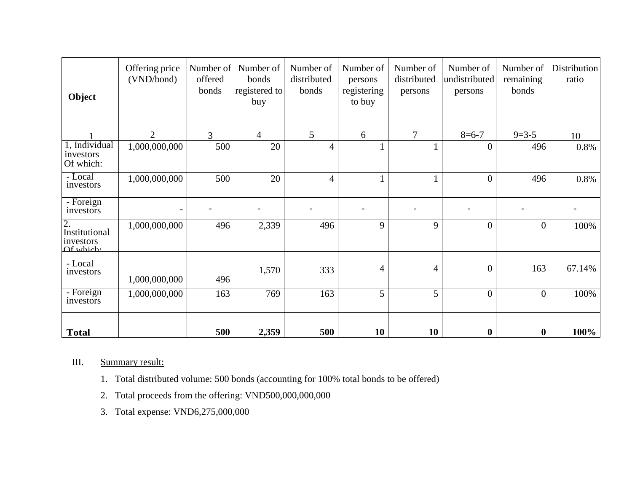| Object                                        | Offering price<br>(VND/bond) | Number of<br>offered<br>bonds | Number of<br>bonds<br>registered to<br>buy | Number of<br>distributed<br>bonds | Number of<br>persons<br>registering<br>to buy | Number of<br>distributed<br>persons | Number of<br>undistributed<br>persons | Number of<br>remaining<br>bonds | Distribution<br>ratio |
|-----------------------------------------------|------------------------------|-------------------------------|--------------------------------------------|-----------------------------------|-----------------------------------------------|-------------------------------------|---------------------------------------|---------------------------------|-----------------------|
|                                               | $\overline{2}$               | 3                             | $\overline{4}$                             | 5                                 | 6                                             | $\tau$                              | $8 = 6 - 7$                           | $9=3-5$                         | 10                    |
| 1, Individual<br>investors<br>Of which:       | 1,000,000,000                | 500                           | 20                                         | 4                                 | 1                                             |                                     | $\overline{0}$                        | 496                             | 0.8%                  |
| - Local<br>investors                          | 1,000,000,000                | 500                           | 20                                         | $\overline{4}$                    | $\mathbf{1}$                                  |                                     | $\overline{0}$                        | 496                             | 0.8%                  |
| - Foreign<br>investors                        |                              |                               |                                            | $\overline{\phantom{0}}$          |                                               |                                     | $\qquad \qquad$                       |                                 |                       |
| 2.<br>Institutional<br>investors<br>Of which: | 1,000,000,000                | 496                           | 2,339                                      | 496                               | 9                                             | 9                                   | $\overline{0}$                        | $\theta$                        | 100%                  |
| - Local<br>investors                          | 1,000,000,000                | 496                           | 1,570                                      | 333                               | $\overline{4}$                                | $\overline{4}$                      | $\overline{0}$                        | 163                             | 67.14%                |
| - Foreign<br>investors                        | 1,000,000,000                | 163                           | 769                                        | 163                               | 5                                             | 5                                   | $\overline{0}$                        | $\theta$                        | 100%                  |
| <b>Total</b>                                  |                              | 500                           | 2,359                                      | 500                               | 10                                            | 10                                  | $\boldsymbol{0}$                      | $\bf{0}$                        | 100%                  |

## III. Summary result:

- 1. Total distributed volume: 500 bonds (accounting for 100% total bonds to be offered)
- 2. Total proceeds from the offering: VND500,000,000,000
- 3. Total expense: VND6,275,000,000